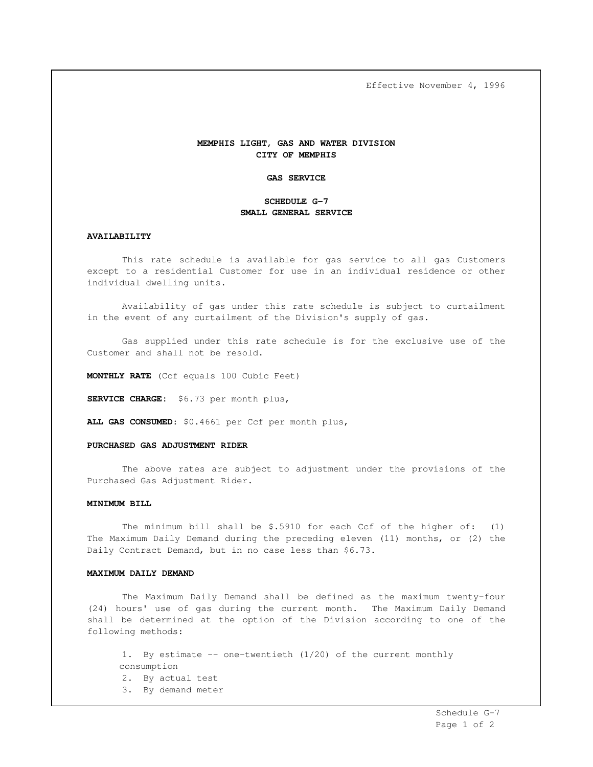Effective November 4, 1996

# **MEMPHIS LIGHT, GAS AND WATER DIVISION CITY OF MEMPHIS**

### **GAS SERVICE**

# **SCHEDULE G-7 SMALL GENERAL SERVICE**

#### **AVAILABILITY**

This rate schedule is available for gas service to all gas Customers except to a residential Customer for use in an individual residence or other individual dwelling units.

Availability of gas under this rate schedule is subject to curtailment in the event of any curtailment of the Division's supply of gas.

Gas supplied under this rate schedule is for the exclusive use of the Customer and shall not be resold.

**MONTHLY RATE** (Ccf equals 100 Cubic Feet)

**SERVICE CHARGE:** \$6.73 per month plus,

**ALL GAS CONSUMED**: \$0.4661 per Ccf per month plus,

### **PURCHASED GAS ADJUSTMENT RIDER**

The above rates are subject to adjustment under the provisions of the Purchased Gas Adjustment Rider.

#### **MINIMUM BILL**

The minimum bill shall be \$.5910 for each Ccf of the higher of: (1) The Maximum Daily Demand during the preceding eleven (11) months, or (2) the Daily Contract Demand, but in no case less than \$6.73.

#### **MAXIMUM DAILY DEMAND**

The Maximum Daily Demand shall be defined as the maximum twenty-four (24) hours' use of gas during the current month. The Maximum Daily Demand shall be determined at the option of the Division according to one of the following methods:

1. By estimate -- one-twentieth (1/20) of the current monthly consumption 2. By actual test 3. By demand meter